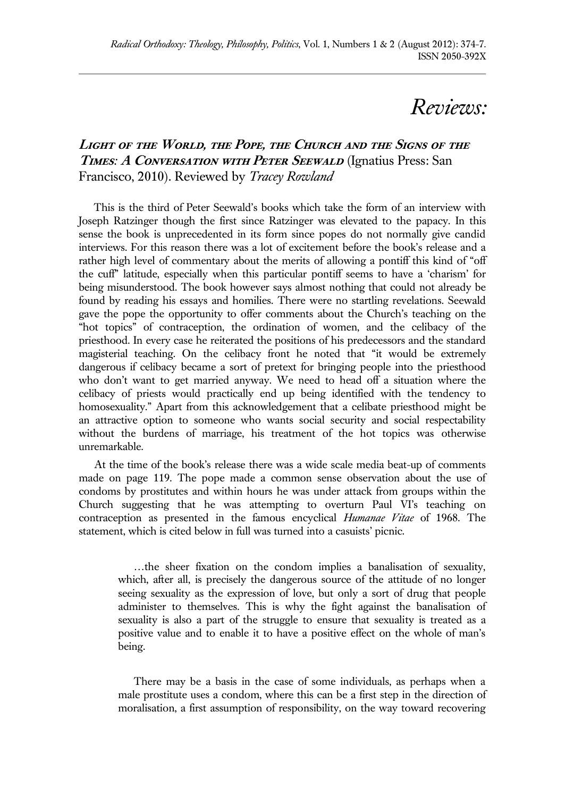## *Reviews:*

## **Light of the World, the Pope, the Church and the Signs of the Times***:* **A Conversation with Peter Seewald** (Ignatius Press: San Francisco, 2010). Reviewed by *Tracey Rowland*

 This is the third of Peter Seewald's books which take the form of an interview with Joseph Ratzinger though the first since Ratzinger was elevated to the papacy. In this sense the book is unprecedented in its form since popes do not normally give candid interviews. For this reason there was a lot of excitement before the book's release and a rather high level of commentary about the merits of allowing a pontiff this kind of "off the cuff" latitude, especially when this particular pontiff seems to have a 'charism' for being misunderstood. The book however says almost nothing that could not already be found by reading his essays and homilies. There were no startling revelations. Seewald gave the pope the opportunity to offer comments about the Church's teaching on the "hot topics" of contraception, the ordination of women, and the celibacy of the priesthood. In every case he reiterated the positions of his predecessors and the standard magisterial teaching. On the celibacy front he noted that "it would be extremely dangerous if celibacy became a sort of pretext for bringing people into the priesthood who don't want to get married anyway. We need to head off a situation where the celibacy of priests would practically end up being identified with the tendency to homosexuality." Apart from this acknowledgement that a celibate priesthood might be an attractive option to someone who wants social security and social respectability without the burdens of marriage, his treatment of the hot topics was otherwise unremarkable.

At the time of the book's release there was a wide scale media beat-up of comments made on page 119. The pope made a common sense observation about the use of condoms by prostitutes and within hours he was under attack from groups within the Church suggesting that he was attempting to overturn Paul VI's teaching on contraception as presented in the famous encyclical *Humanae Vitae* of 1968. The statement, which is cited below in full was turned into a casuists' picnic.

…the sheer fixation on the condom implies a banalisation of sexuality, which, after all, is precisely the dangerous source of the attitude of no longer seeing sexuality as the expression of love, but only a sort of drug that people administer to themselves. This is why the fight against the banalisation of sexuality is also a part of the struggle to ensure that sexuality is treated as a positive value and to enable it to have a positive effect on the whole of man's being.

There may be a basis in the case of some individuals, as perhaps when a male prostitute uses a condom, where this can be a first step in the direction of moralisation, a first assumption of responsibility, on the way toward recovering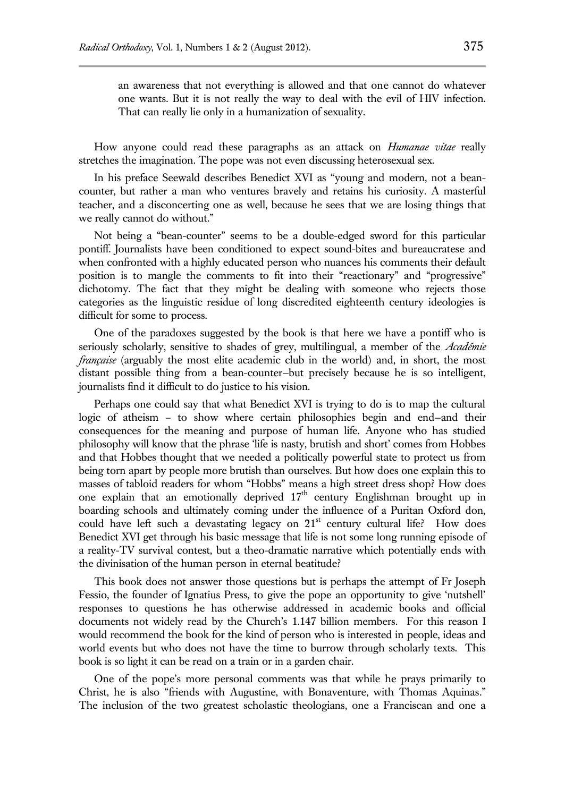an awareness that not everything is allowed and that one cannot do whatever one wants. But it is not really the way to deal with the evil of HIV infection. That can really lie only in a humanization of sexuality.

How anyone could read these paragraphs as an attack on *Humanae vitae* really stretches the imagination. The pope was not even discussing heterosexual sex.

In his preface Seewald describes Benedict XVI as "young and modern, not a beancounter, but rather a man who ventures bravely and retains his curiosity. A masterful teacher, and a disconcerting one as well, because he sees that we are losing things that we really cannot do without."

Not being a "bean-counter" seems to be a double-edged sword for this particular pontiff. Journalists have been conditioned to expect sound-bites and bureaucratese and when confronted with a highly educated person who nuances his comments their default position is to mangle the comments to fit into their "reactionary" and "progressive" dichotomy. The fact that they might be dealing with someone who rejects those categories as the linguistic residue of long discredited eighteenth century ideologies is difficult for some to process.

One of the paradoxes suggested by the book is that here we have a pontiff who is seriously scholarly, sensitive to shades of grey, multilingual, a member of the *Académie française* (arguably the most elite academic club in the world) and, in short, the most distant possible thing from a bean-counter—but precisely because he is so intelligent, journalists find it difficult to do justice to his vision.

Perhaps one could say that what Benedict XVI is trying to do is to map the cultural logic of atheism – to show where certain philosophies begin and end—and their consequences for the meaning and purpose of human life. Anyone who has studied philosophy will know that the phrase 'life is nasty, brutish and short' comes from Hobbes and that Hobbes thought that we needed a politically powerful state to protect us from being torn apart by people more brutish than ourselves. But how does one explain this to masses of tabloid readers for whom "Hobbs" means a high street dress shop? How does one explain that an emotionally deprived  $17<sup>th</sup>$  century Englishman brought up in boarding schools and ultimately coming under the influence of a Puritan Oxford don, could have left such a devastating legacy on  $21<sup>st</sup>$  century cultural life? How does Benedict XVI get through his basic message that life is not some long running episode of a reality-TV survival contest, but a theo-dramatic narrative which potentially ends with the divinisation of the human person in eternal beatitude?

This book does not answer those questions but is perhaps the attempt of Fr Joseph Fessio, the founder of Ignatius Press, to give the pope an opportunity to give 'nutshell' responses to questions he has otherwise addressed in academic books and official documents not widely read by the Church's 1.147 billion members. For this reason I would recommend the book for the kind of person who is interested in people, ideas and world events but who does not have the time to burrow through scholarly texts. This book is so light it can be read on a train or in a garden chair.

One of the pope's more personal comments was that while he prays primarily to Christ, he is also "friends with Augustine, with Bonaventure, with Thomas Aquinas." The inclusion of the two greatest scholastic theologians, one a Franciscan and one a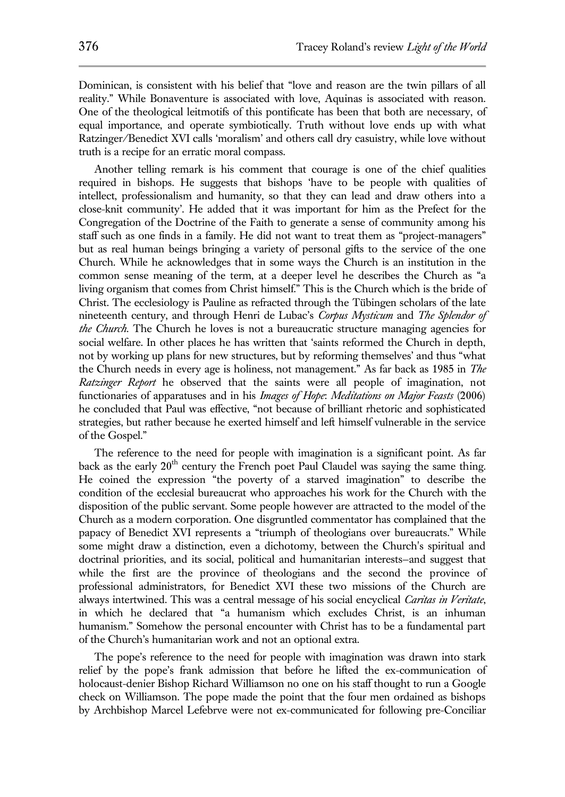Dominican, is consistent with his belief that "love and reason are the twin pillars of all reality." While Bonaventure is associated with love, Aquinas is associated with reason. One of the theological leitmotifs of this pontificate has been that both are necessary, of equal importance, and operate symbiotically. Truth without love ends up with what Ratzinger/Benedict XVI calls 'moralism' and others call dry casuistry, while love without truth is a recipe for an erratic moral compass.

Another telling remark is his comment that courage is one of the chief qualities required in bishops. He suggests that bishops 'have to be people with qualities of intellect, professionalism and humanity, so that they can lead and draw others into a close-knit community'. He added that it was important for him as the Prefect for the Congregation of the Doctrine of the Faith to generate a sense of community among his staff such as one finds in a family. He did not want to treat them as "project-managers" but as real human beings bringing a variety of personal gifts to the service of the one Church. While he acknowledges that in some ways the Church is an institution in the common sense meaning of the term, at a deeper level he describes the Church as "a living organism that comes from Christ himself." This is the Church which is the bride of Christ. The ecclesiology is Pauline as refracted through the Tübingen scholars of the late nineteenth century, and through Henri de Lubac's *Corpus Mysticum* and *The Splendor of the Church*. The Church he loves is not a bureaucratic structure managing agencies for social welfare. In other places he has written that 'saints reformed the Church in depth, not by working up plans for new structures, but by reforming themselves' and thus "what the Church needs in every age is holiness, not management." As far back as 1985 in *The Ratzinger Report* he observed that the saints were all people of imagination, not functionaries of apparatuses and in his *Images of Hope*: *Meditations on Major Feasts* (2006) he concluded that Paul was effective, "not because of brilliant rhetoric and sophisticated strategies, but rather because he exerted himself and left himself vulnerable in the service of the Gospel."

The reference to the need for people with imagination is a significant point. As far back as the early  $20<sup>th</sup>$  century the French poet Paul Claudel was saying the same thing. He coined the expression "the poverty of a starved imagination" to describe the condition of the ecclesial bureaucrat who approaches his work for the Church with the disposition of the public servant. Some people however are attracted to the model of the Church as a modern corporation. One disgruntled commentator has complained that the papacy of Benedict XVI represents a "triumph of theologians over bureaucrats." While some might draw a distinction, even a dichotomy, between the Church's spiritual and doctrinal priorities, and its social, political and humanitarian interests—and suggest that while the first are the province of theologians and the second the province of professional administrators, for Benedict XVI these two missions of the Church are always intertwined. This was a central message of his social encyclical *Caritas in Veritate*, in which he declared that "a humanism which excludes Christ, is an inhuman humanism." Somehow the personal encounter with Christ has to be a fundamental part of the Church's humanitarian work and not an optional extra.

The pope's reference to the need for people with imagination was drawn into stark relief by the pope's frank admission that before he lifted the ex-communication of holocaust-denier Bishop Richard Williamson no one on his staff thought to run a Google check on Williamson. The pope made the point that the four men ordained as bishops by Archbishop Marcel Lefebrve were not ex-communicated for following pre-Conciliar